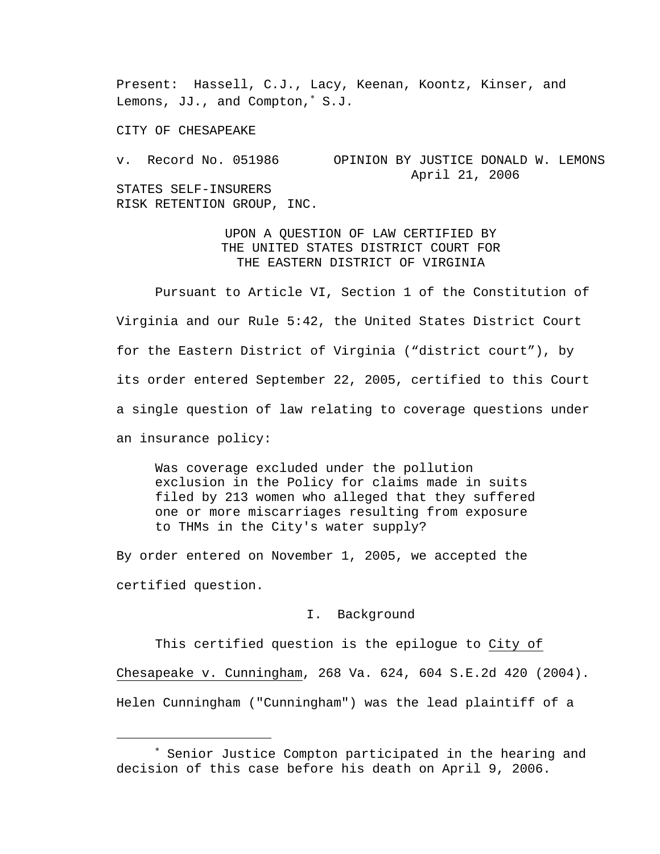Present: Hassell, C.J., Lacy, Keenan, Koontz, Kinser, and Lemons, JJ., and Compton,<sup>∗</sup> S.J.

CITY OF CHESAPEAKE

i

v. Record No. 051986 OPINION BY JUSTICE DONALD W. LEMONS April 21, 2006 STATES SELF-INSURERS RISK RETENTION GROUP, INC.

> UPON A QUESTION OF LAW CERTIFIED BY THE UNITED STATES DISTRICT COURT FOR THE EASTERN DISTRICT OF VIRGINIA

 Pursuant to Article VI, Section 1 of the Constitution of Virginia and our Rule 5:42, the United States District Court for the Eastern District of Virginia ("district court"), by its order entered September 22, 2005, certified to this Court a single question of law relating to coverage questions under an insurance policy:

 Was coverage excluded under the pollution exclusion in the Policy for claims made in suits filed by 213 women who alleged that they suffered one or more miscarriages resulting from exposure to THMs in the City's water supply?

By order entered on November 1, 2005, we accepted the certified question.

## I. Background

This certified question is the epilogue to City of Chesapeake v. Cunningham, 268 Va. 624, 604 S.E.2d 420 (2004). Helen Cunningham ("Cunningham") was the lead plaintiff of a

<sup>∗</sup> Senior Justice Compton participated in the hearing and decision of this case before his death on April 9, 2006.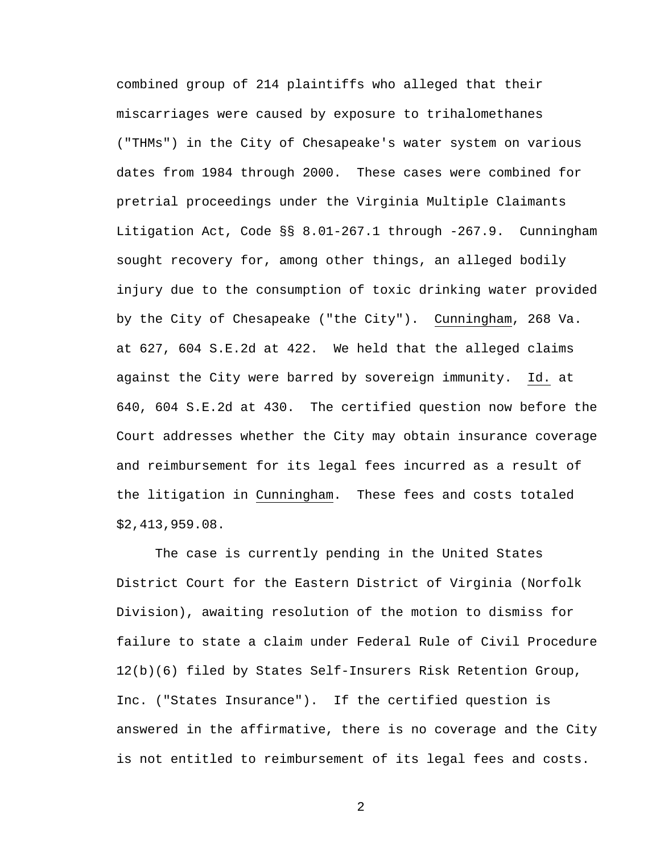combined group of 214 plaintiffs who alleged that their miscarriages were caused by exposure to trihalomethanes ("THMs") in the City of Chesapeake's water system on various dates from 1984 through 2000. These cases were combined for pretrial proceedings under the Virginia Multiple Claimants Litigation Act, Code §§ 8.01-267.1 through -267.9. Cunningham sought recovery for, among other things, an alleged bodily injury due to the consumption of toxic drinking water provided by the City of Chesapeake ("the City"). Cunningham, 268 Va. at 627, 604 S.E.2d at 422. We held that the alleged claims against the City were barred by sovereign immunity. Id. at 640, 604 S.E.2d at 430. The certified question now before the Court addresses whether the City may obtain insurance coverage and reimbursement for its legal fees incurred as a result of the litigation in Cunningham. These fees and costs totaled \$2,413,959.08.

 The case is currently pending in the United States District Court for the Eastern District of Virginia (Norfolk Division), awaiting resolution of the motion to dismiss for failure to state a claim under Federal Rule of Civil Procedure 12(b)(6) filed by States Self-Insurers Risk Retention Group, Inc. ("States Insurance"). If the certified question is answered in the affirmative, there is no coverage and the City is not entitled to reimbursement of its legal fees and costs.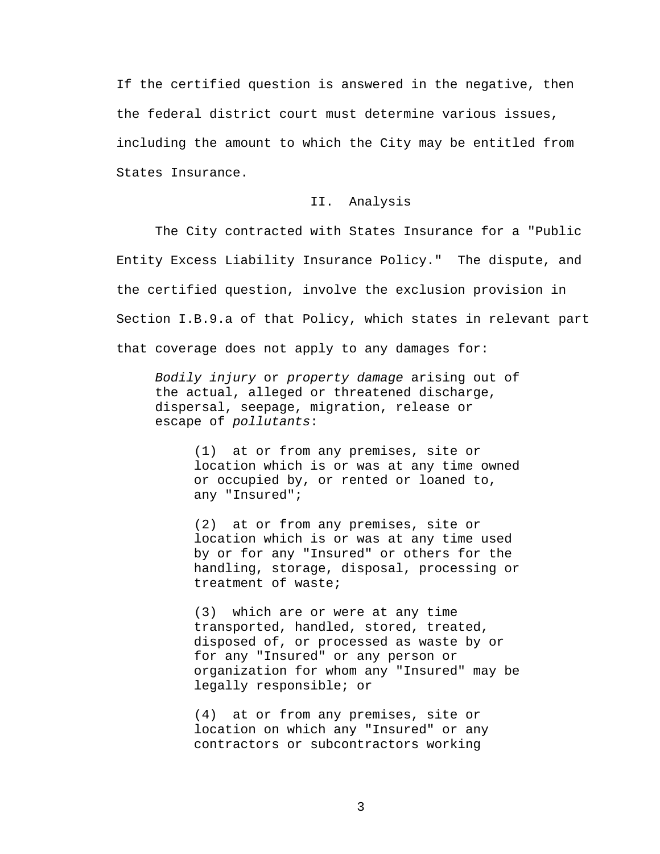If the certified question is answered in the negative, then the federal district court must determine various issues, including the amount to which the City may be entitled from States Insurance.

## II. Analysis

 The City contracted with States Insurance for a "Public Entity Excess Liability Insurance Policy." The dispute, and the certified question, involve the exclusion provision in Section I.B.9.a of that Policy, which states in relevant part that coverage does not apply to any damages for:

*Bodily injury* or *property damage* arising out of the actual, alleged or threatened discharge, dispersal, seepage, migration, release or escape of *pollutants*:

> (1) at or from any premises, site or location which is or was at any time owned or occupied by, or rented or loaned to, any "Insured";

> (2) at or from any premises, site or location which is or was at any time used by or for any "Insured" or others for the handling, storage, disposal, processing or treatment of waste;

> (3) which are or were at any time transported, handled, stored, treated, disposed of, or processed as waste by or for any "Insured" or any person or organization for whom any "Insured" may be legally responsible; or

(4) at or from any premises, site or location on which any "Insured" or any contractors or subcontractors working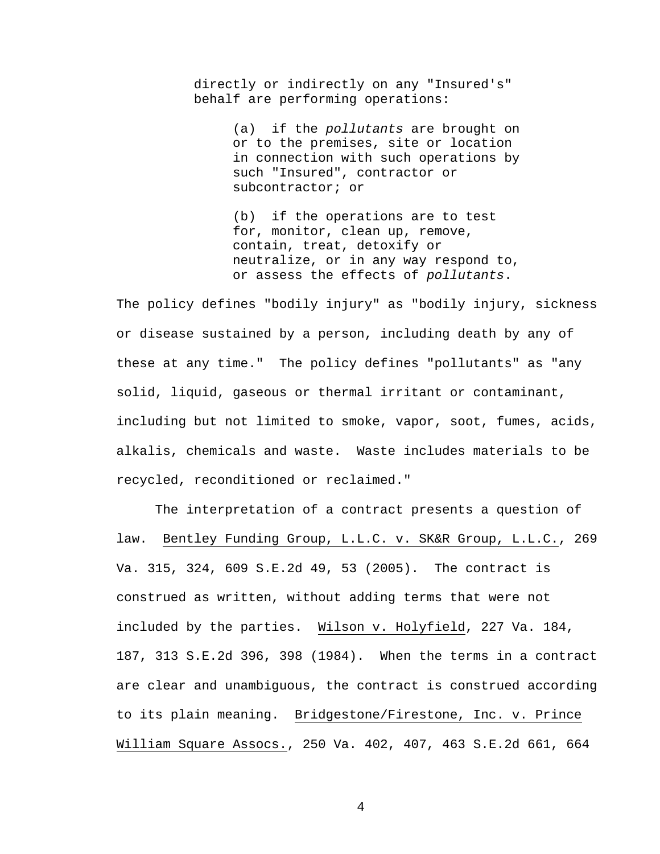directly or indirectly on any "Insured's" behalf are performing operations:

> (a) if the *pollutants* are brought on or to the premises, site or location in connection with such operations by such "Insured", contractor or subcontractor; or

(b) if the operations are to test for, monitor, clean up, remove, contain, treat, detoxify or neutralize, or in any way respond to, or assess the effects of *pollutants*.

The policy defines "bodily injury" as "bodily injury, sickness or disease sustained by a person, including death by any of these at any time." The policy defines "pollutants" as "any solid, liquid, gaseous or thermal irritant or contaminant, including but not limited to smoke, vapor, soot, fumes, acids, alkalis, chemicals and waste. Waste includes materials to be recycled, reconditioned or reclaimed."

The interpretation of a contract presents a question of law. Bentley Funding Group, L.L.C. v. SK&R Group, L.L.C., 269 Va. 315, 324, 609 S.E.2d 49, 53 (2005). The contract is construed as written, without adding terms that were not included by the parties. Wilson v. Holyfield, 227 Va. 184, 187, 313 S.E.2d 396, 398 (1984). When the terms in a contract are clear and unambiguous, the contract is construed according to its plain meaning. Bridgestone/Firestone, Inc. v. Prince William Square Assocs., 250 Va. 402, 407, 463 S.E.2d 661, 664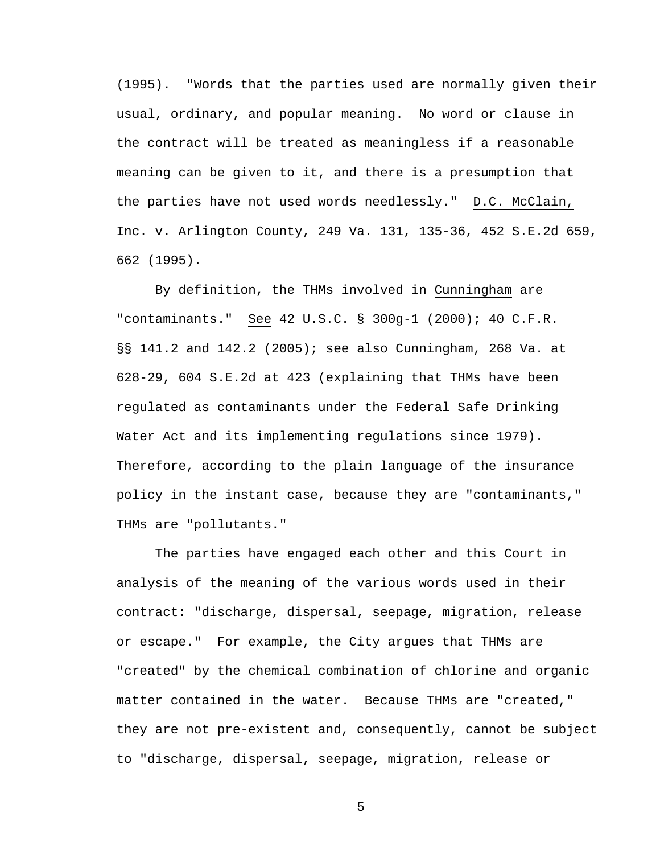(1995). "Words that the parties used are normally given their usual, ordinary, and popular meaning. No word or clause in the contract will be treated as meaningless if a reasonable meaning can be given to it, and there is a presumption that the parties have not used words needlessly." D.C. McClain, Inc. v. Arlington County, 249 Va. 131, 135-36, 452 S.E.2d 659, 662 (1995).

 By definition, the THMs involved in Cunningham are "contaminants." See 42 U.S.C. § 300g-1 (2000); 40 C.F.R. §§ 141.2 and 142.2 (2005); see also Cunningham, 268 Va. at 628-29, 604 S.E.2d at 423 (explaining that THMs have been regulated as contaminants under the Federal Safe Drinking Water Act and its implementing regulations since 1979). Therefore, according to the plain language of the insurance policy in the instant case, because they are "contaminants," THMs are "pollutants."

 The parties have engaged each other and this Court in analysis of the meaning of the various words used in their contract: "discharge, dispersal, seepage, migration, release or escape." For example, the City argues that THMs are "created" by the chemical combination of chlorine and organic matter contained in the water. Because THMs are "created," they are not pre-existent and, consequently, cannot be subject to "discharge, dispersal, seepage, migration, release or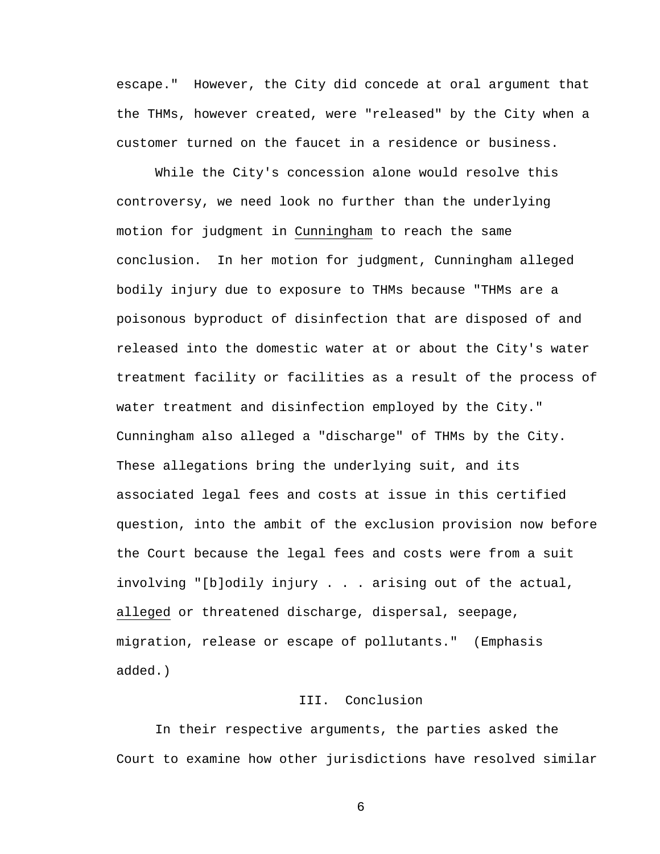escape." However, the City did concede at oral argument that the THMs, however created, were "released" by the City when a customer turned on the faucet in a residence or business.

 While the City's concession alone would resolve this controversy, we need look no further than the underlying motion for judgment in Cunningham to reach the same conclusion. In her motion for judgment, Cunningham alleged bodily injury due to exposure to THMs because "THMs are a poisonous byproduct of disinfection that are disposed of and released into the domestic water at or about the City's water treatment facility or facilities as a result of the process of water treatment and disinfection employed by the City." Cunningham also alleged a "discharge" of THMs by the City. These allegations bring the underlying suit, and its associated legal fees and costs at issue in this certified question, into the ambit of the exclusion provision now before the Court because the legal fees and costs were from a suit involving "[b]odily injury . . . arising out of the actual, alleged or threatened discharge, dispersal, seepage, migration, release or escape of pollutants." (Emphasis added.)

## III. Conclusion

 In their respective arguments, the parties asked the Court to examine how other jurisdictions have resolved similar